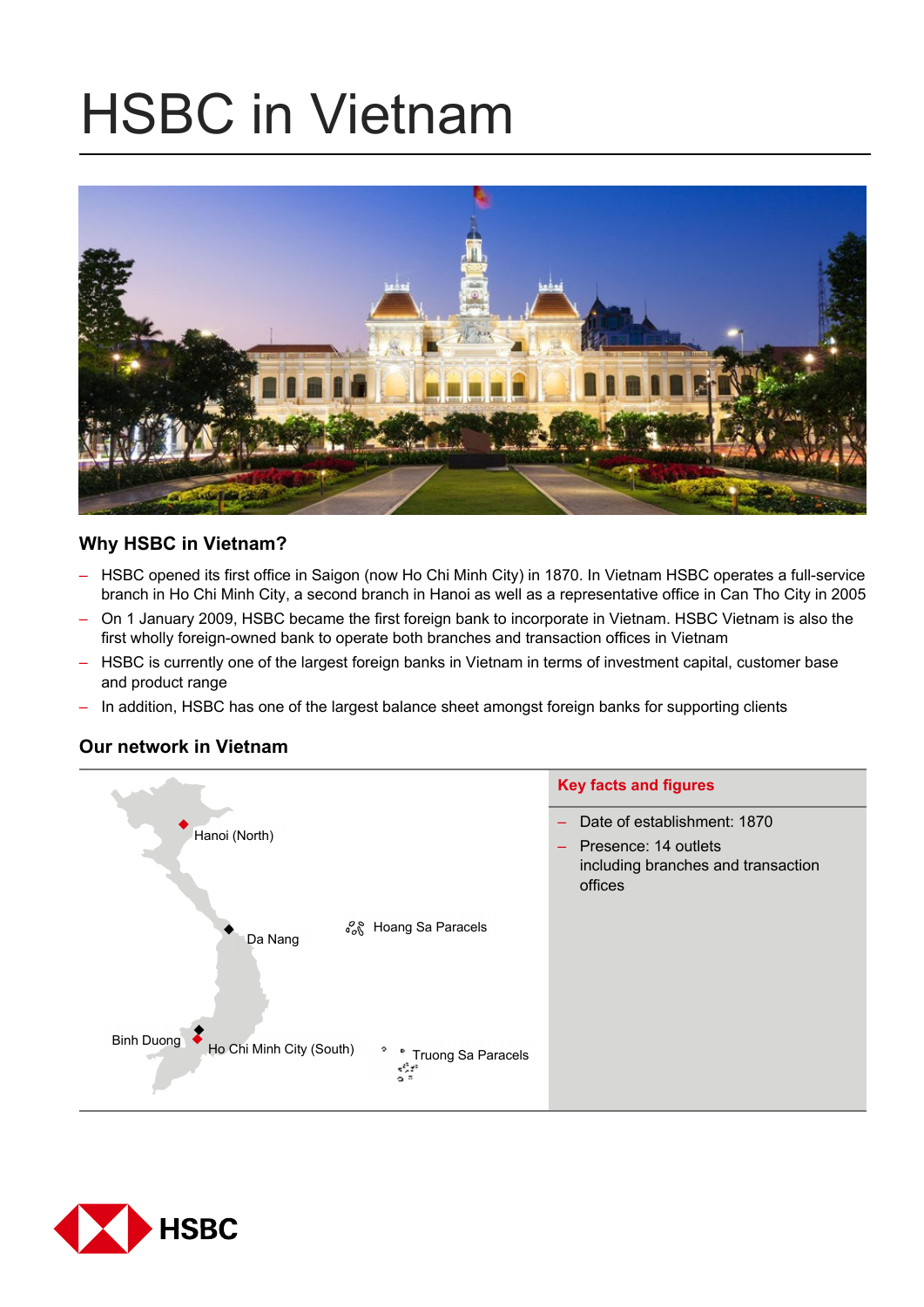# HSBC in Vietnam



# **Why HSBC in Vietnam?**

- HSBC opened its first office in Saigon (now Ho Chi Minh City) in 1870. In Vietnam HSBC operates a full-service branch in Ho Chi Minh City, a second branch in Hanoi as well as a representative office in Can Tho City in 2005
- On 1 January 2009, HSBC became the first foreign bank to incorporate in Vietnam. HSBC Vietnam is also the first wholly foreign-owned bank to operate both branches and transaction offices in Vietnam
- HSBC is currently one of the largest foreign banks in Vietnam in terms of investment capital, customer base and product range
- In addition, HSBC has one of the largest balance sheet amongst foreign banks for supporting clients

# **Our network in Vietnam**